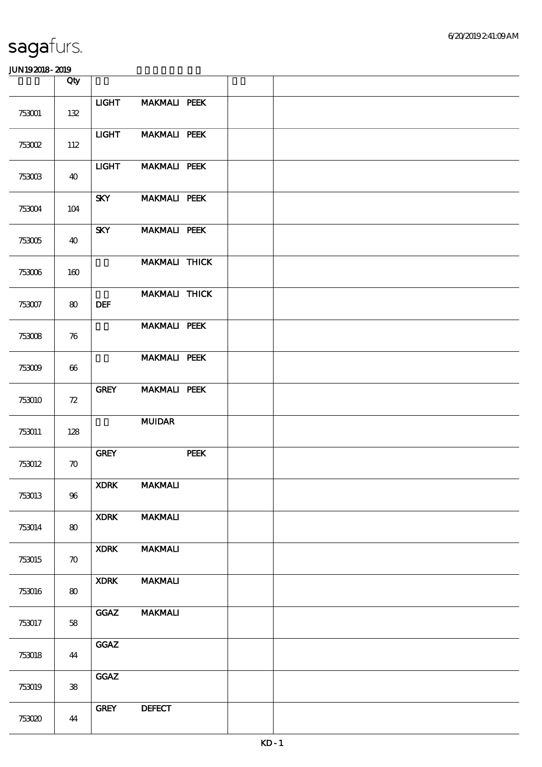|        | Qty                |                                       |                     |      |  |  |  |
|--------|--------------------|---------------------------------------|---------------------|------|--|--|--|
| 753001 | 132                | <b>LIGHT</b>                          | <b>MAKMALI PEEK</b> |      |  |  |  |
| 753002 | 112                | <b>LIGHT</b>                          | <b>MAKMALI PEEK</b> |      |  |  |  |
| 753003 | 40                 | <b>LIGHT</b>                          | <b>MAKMALI PEEK</b> |      |  |  |  |
| 753004 | 104                | <b>SKY</b>                            | <b>MAKMALI PEEK</b> |      |  |  |  |
| 753005 | 40                 | <b>SKY</b>                            | <b>MAKMALI PEEK</b> |      |  |  |  |
| 753006 | 160                |                                       | MAKMALI THICK       |      |  |  |  |
| 753007 | 80                 | <b>DEF</b>                            | MAKMALI THICK       |      |  |  |  |
| 753008 | 76                 |                                       | <b>MAKMALI PEEK</b> |      |  |  |  |
| 753009 | 66                 |                                       | <b>MAKMALI PEEK</b> |      |  |  |  |
| 753010 | 72                 | <b>GREY</b>                           | <b>MAKMALI PEEK</b> |      |  |  |  |
| 753011 | 128                |                                       | <b>MUIDAR</b>       |      |  |  |  |
| 753012 | $\boldsymbol{\pi}$ | ${\ensuremath{\mathbf {GRE}}\xspace}$ |                     | PEEK |  |  |  |
| 753013 | $96\,$             | <b>XDRK</b>                           | <b>MAKMALI</b>      |      |  |  |  |
| 753014 | 80                 | <b>XDRK</b>                           | <b>MAKMALI</b>      |      |  |  |  |
| 753015 | $\boldsymbol{\pi}$ | <b>XDRK</b>                           | <b>MAKMALI</b>      |      |  |  |  |
| 753016 | 80                 | <b>XDRK</b>                           | <b>MAKMALI</b>      |      |  |  |  |
| 753017 | 58                 | <b>GGAZ</b>                           | <b>MAKMALI</b>      |      |  |  |  |
| 753018 | 44                 | GGAZ                                  |                     |      |  |  |  |
| 753019 | ${\bf 38}$         | GGAZ                                  |                     |      |  |  |  |
| 753020 | 44                 | <b>GREY</b>                           | <b>DEFECT</b>       |      |  |  |  |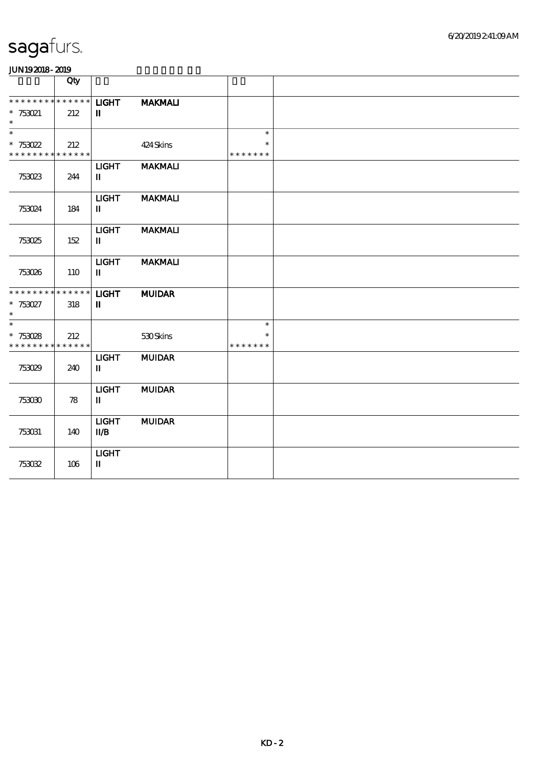| .                                                                |     |                                                    |                |                                   |  |
|------------------------------------------------------------------|-----|----------------------------------------------------|----------------|-----------------------------------|--|
|                                                                  | Qty |                                                    |                |                                   |  |
| * * * * * * * * * * * * * *<br>$* 753021$<br>$\ast$              | 212 | <b>LIGHT</b><br>П                                  | <b>MAKMALI</b> |                                   |  |
| $\ast$<br>$* 753022$<br>* * * * * * * * <mark>* * * * * *</mark> | 212 |                                                    | 424 Skins      | $\ast$<br>$\ast$<br>* * * * * * * |  |
| 753023                                                           | 244 | <b>LIGHT</b><br>$\mathbf{I}$                       | <b>MAKMALI</b> |                                   |  |
| 753024                                                           | 184 | <b>LIGHT</b><br>п                                  | <b>MAKMALI</b> |                                   |  |
| 753025                                                           | 152 | <b>LIGHT</b><br>$\mathbf{I}$                       | <b>MAKMALI</b> |                                   |  |
| 753026                                                           | 110 | <b>LIGHT</b><br>$\mathbf{u}$                       | <b>MAKMALI</b> |                                   |  |
| * * * * * * * * * * * * * * *<br>$* 753027$<br>$\ast$            | 318 | <b>LIGHT</b><br>П                                  | <b>MUIDAR</b>  |                                   |  |
| $\ast$<br>$* 753028$<br>* * * * * * * * <mark>* * * * * *</mark> | 212 |                                                    | 530Skins       | $\ast$<br>* * * * * * *           |  |
| 753029                                                           | 240 | <b>LIGHT</b><br>$\mathbf I$                        | <b>MUIDAR</b>  |                                   |  |
| 753030                                                           | 78  | <b>LIGHT</b><br>$\mathbf I$                        | <b>MUIDAR</b>  |                                   |  |
| 753031                                                           | 140 | <b>LIGHT</b><br>$\mathbf{I} \mathbf{I} \mathbf{B}$ | <b>MUIDAR</b>  |                                   |  |
| 753052                                                           | 106 | <b>LIGHT</b><br>$\mathbf I$                        |                |                                   |  |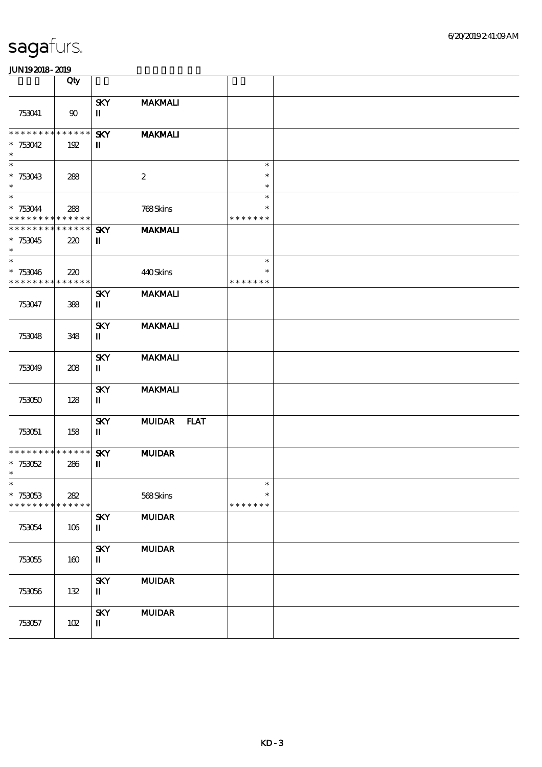|                                                                | Qty                |                                                     |                  |                                   |  |
|----------------------------------------------------------------|--------------------|-----------------------------------------------------|------------------|-----------------------------------|--|
| 753041                                                         | 90                 | <b>SKY</b><br>$\mathbf I$                           | <b>MAKMALI</b>   |                                   |  |
| * * * * * * * * * * * * * *<br>$* 753042$<br>$\ast$            | 192                | <b>SKY</b><br>$\mathbf{I}$                          | <b>MAKMALI</b>   |                                   |  |
| $\ast$<br>$*753043$<br>$\ast$                                  | 288                |                                                     | $\boldsymbol{2}$ | $\ast$<br>$\ast$<br>$\ast$        |  |
| $\overline{\ast}$<br>$* 753044$<br>* * * * * * * * * * * * * * | 288                |                                                     | 768Skins         | $\ast$<br>$\ast$<br>* * * * * * * |  |
| * * * * * * * * * * * * * *<br>$*753045$<br>$\ast$             | 220                | <b>SKY</b><br>$\mathbf I$                           | <b>MAKMALI</b>   |                                   |  |
| $\ast$<br>$*753046$<br>* * * * * * * *                         | 220<br>* * * * * * |                                                     | 440Skins         | $\ast$<br>$\ast$<br>* * * * * * * |  |
| 753047                                                         | 388                | <b>SKY</b><br>$\mathbf{I}$                          | <b>MAKMALI</b>   |                                   |  |
| 753048                                                         | 348                | <b>SKY</b><br>П                                     | <b>MAKMALI</b>   |                                   |  |
| 753049                                                         | 208                | <b>SKY</b><br>П                                     | <b>MAKMALI</b>   |                                   |  |
| 753050                                                         | 128                | <b>SKY</b><br>П                                     | <b>MAKMALI</b>   |                                   |  |
| 753051                                                         | 158                | <b>SKY</b><br>П                                     | MUIDAR FLAT      |                                   |  |
| * * * * * * * * * * * * * *<br>$*753052$<br>$\ast$             | 286                | <b>SKY</b><br>$\mathbf I$                           | <b>MUIDAR</b>    |                                   |  |
| $*$<br>$*753053$<br>* * * * * * * *                            | 282<br>* * * * * * |                                                     | 568Skins         | $\ast$<br>$\ast$<br>* * * * * * * |  |
| 753054                                                         | 106                | <b>SKY</b><br>$\rm I\hspace{-.1em}I\hspace{-.1em}I$ | <b>MUIDAR</b>    |                                   |  |
| 753055                                                         | 160                | <b>SKY</b><br>$\mathbf I$                           | <b>MUIDAR</b>    |                                   |  |
| 753056                                                         | 132                | <b>SKY</b><br>$\mathbf I$                           | <b>MUIDAR</b>    |                                   |  |
| 753057                                                         | 102                | <b>SKY</b><br>П                                     | <b>MUIDAR</b>    |                                   |  |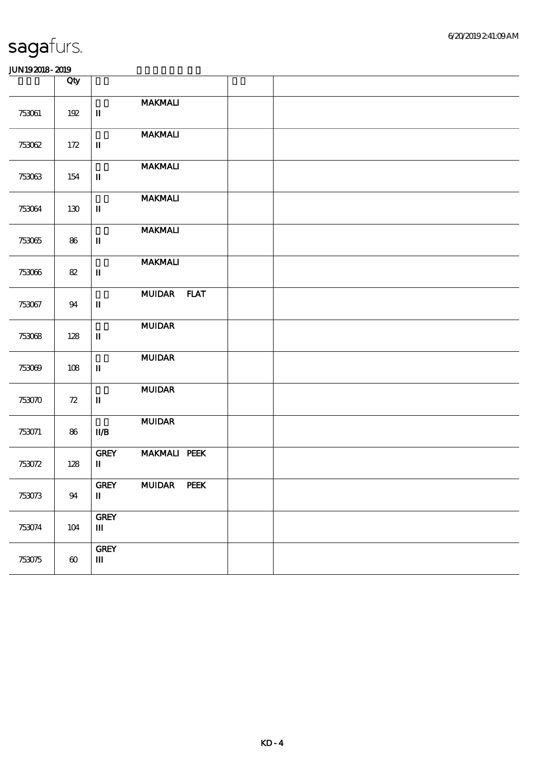|        | Qty                   |                                       |                     |  |  |
|--------|-----------------------|---------------------------------------|---------------------|--|--|
| 753061 | 192                   | $\mathbf I$                           | <b>MAKMALI</b>      |  |  |
| 753062 | 172                   | $\rm I\hspace{-.1em}I$                | <b>MAKMALI</b>      |  |  |
| 753063 | 154                   | $\mathbf I$                           | <b>MAKMALI</b>      |  |  |
| 753064 | 130                   | $\mathbf I$                           | <b>MAKMALI</b>      |  |  |
| 753065 | 86                    | $\rm I\hspace{-.1em}I$                | <b>MAKMALI</b>      |  |  |
| 753066 | 82                    | $\mathbf I$                           | <b>MAKMALI</b>      |  |  |
| 753067 | 94                    | $\mathbf I$                           | MUIDAR FLAT         |  |  |
| 753068 | 128                   | $\rm I\hspace{-.1em}I\hspace{-.1em}I$ | $\bf MUDAR$         |  |  |
| 753069 | 108                   | $\mathbf I$                           | <b>MUIDAR</b>       |  |  |
| 753070 | $72\,$                | $\mathbf I$                           | <b>MUIDAR</b>       |  |  |
| 753071 | 86                    | $\mathbf{I} \mathbf{I} \mathbf{B}$    | <b>MUIDAR</b>       |  |  |
| 753072 | 128                   | <b>GREY</b><br>П                      | <b>MAKMALI PEEK</b> |  |  |
| 753073 | 94                    | <b>GREY</b><br>$\mathbf I$            | MUIDAR PEEK         |  |  |
| 753074 | 104                   | ${\rm GRFY}$<br>$\mathbf{m}$          |                     |  |  |
| 753075 | $\boldsymbol{\omega}$ | <b>GREY</b><br>$\mathbf{m}$           |                     |  |  |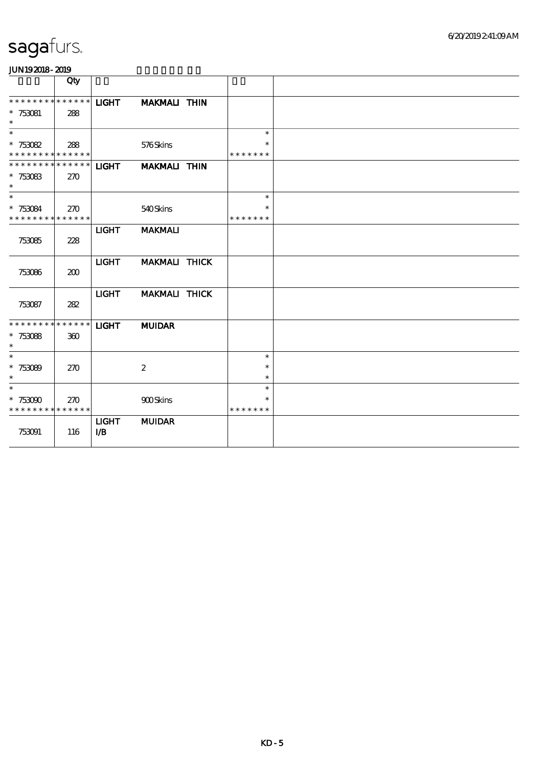#### 6/20/2019 2:41:09 AM

# sagafurs.

|                                                                      | Qty        |                            |                     |                                   |  |
|----------------------------------------------------------------------|------------|----------------------------|---------------------|-----------------------------------|--|
| * * * * * * * * * * * * * *<br>$*753081$<br>$\ast$                   | 288        | <b>LIGHT</b>               | <b>MAKMALI THIN</b> |                                   |  |
| $\overline{\phantom{1}}$<br>$*753082$<br>* * * * * * * * * * * * * * | 288        |                            | 576Skins            | $\ast$<br>$\ast$<br>* * * * * * * |  |
| ******** <mark>*******</mark><br>* $753083$<br>$\ast$                | 270        | <b>LIGHT</b>               | <b>MAKMALI THIN</b> |                                   |  |
| $\ast$<br>$*753084$<br>* * * * * * * * * * * * * *                   | 270        |                            | 540Skins            | $\ast$<br>$\ast$<br>* * * * * * * |  |
| 753085                                                               | 228        | <b>LIGHT</b>               | <b>MAKMALI</b>      |                                   |  |
| 753086                                                               | 200        | <b>LIGHT</b>               | MAKMALI THICK       |                                   |  |
| 753087                                                               | 282        | <b>LIGHT</b>               | MAKMALI THICK       |                                   |  |
| * * * * * * * * * * * * * *<br>$*753088$<br>$\ast$                   | 360        | <b>LIGHT</b>               | <b>MUIDAR</b>       |                                   |  |
| $\ast$<br>$*753089$<br>$\ast$                                        | 270        |                            | $\boldsymbol{2}$    | $\ast$<br>$\ast$<br>$\ast$        |  |
| $\ast$<br>$*753090$<br>* * * * * * * * * * * * * *                   | <b>270</b> |                            | <b>900Skins</b>     | $\ast$<br>$\ast$<br>* * * * * * * |  |
| 753091                                                               | 116        | <b>LIGHT</b><br><b>I/B</b> | <b>MUIDAR</b>       |                                   |  |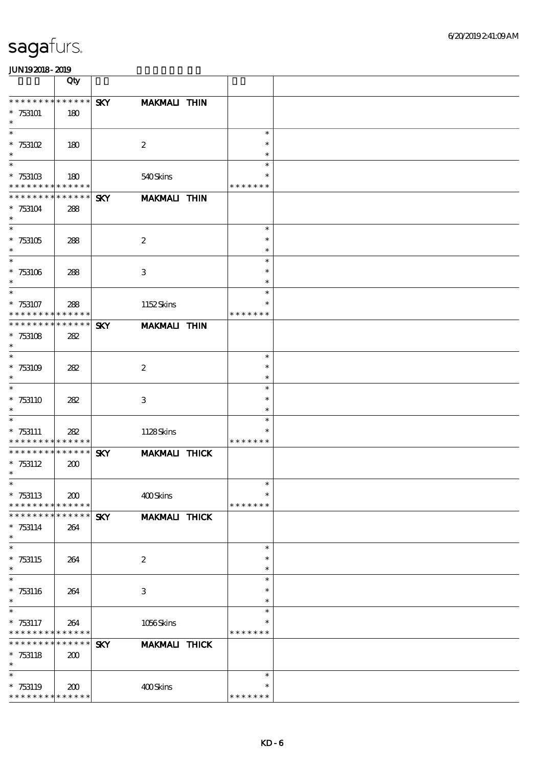|                                          | Qty                        |            |                      |                    |  |
|------------------------------------------|----------------------------|------------|----------------------|--------------------|--|
| * * * * * * * * * * * * * *              |                            | <b>SKY</b> | <b>MAKMALI THIN</b>  |                    |  |
| $*753101$                                | 180                        |            |                      |                    |  |
| $\ast$<br>$\ast$                         |                            |            |                      | $\ast$             |  |
| $* 753102$                               | 180                        |            | $\boldsymbol{2}$     | $\ast$             |  |
| $\ast$                                   |                            |            |                      | $\ast$             |  |
| $\ast$                                   |                            |            |                      | $\ast$             |  |
| $* 75310B$<br>* * * * * * * *            | 180<br>* * * * * *         |            | 540Skins             | *<br>* * * * * * * |  |
| * * * * * * *                            | * * * * * *                | <b>SKY</b> | <b>MAKMALI THIN</b>  |                    |  |
| $*753104$                                | 288                        |            |                      |                    |  |
| $\ast$<br>$\overline{\ast}$              |                            |            |                      |                    |  |
| $* 753105$                               | 288                        |            | $\boldsymbol{2}$     | $\ast$<br>$\ast$   |  |
| $\ast$                                   |                            |            |                      | $\ast$             |  |
| $\ast$                                   |                            |            |                      | $\ast$             |  |
| $*753106$                                | 288                        |            | $\,3$                | $\ast$             |  |
| $\ast$<br>$\ast$                         |                            |            |                      | $\ast$<br>$\ast$   |  |
| $*753107$                                | 288                        |            | 1152Skins            | $\ast$             |  |
| * * * * * * * *                          | * * * * * *                |            |                      | * * * * * * *      |  |
| * * * * * * *                            | * * * * * *                | <b>SKY</b> | <b>MAKMALI THIN</b>  |                    |  |
| $*753108$<br>$\ast$                      | 282                        |            |                      |                    |  |
| $\ast$                                   |                            |            |                      | $\ast$             |  |
| $*753109$                                | 282                        |            | $\boldsymbol{2}$     | $\ast$             |  |
| $\ast$                                   |                            |            |                      | $\ast$             |  |
| $\ast$                                   |                            |            |                      | $\ast$             |  |
| $* 753110$<br>$\ast$                     | 282                        |            | $\,3$                | $\ast$<br>$\ast$   |  |
| $\ast$                                   |                            |            |                      | $\ast$             |  |
| $*753111$                                | 282                        |            | 1128Skins            | $\ast$             |  |
| * * * * * * * *                          | * * * * * *                |            |                      | * * * * * * *      |  |
| * * * * * * * *<br>$* 753112$            | * * * * * *<br>200         | <b>SKY</b> | <b>MAKMALI THICK</b> |                    |  |
| $\ast$                                   |                            |            |                      |                    |  |
| $\ast$                                   |                            |            |                      | $\ast$             |  |
| $*753113$                                | 200                        |            | 400Skins             | $\ast$             |  |
| * * * * * * * *<br>* * * * * * *         | * * * * * *<br>* * * * * * | <b>SKY</b> | <b>MAKMALI THICK</b> | * * * * * * *      |  |
| $* 753114$                               | 264                        |            |                      |                    |  |
| $\ast$                                   |                            |            |                      |                    |  |
| $\ast$                                   |                            |            |                      | $\ast$             |  |
| $* 753115$<br>$\ast$                     | 264                        |            | $\boldsymbol{2}$     | $\ast$<br>$\ast$   |  |
| $\ast$                                   |                            |            |                      | $\ast$             |  |
| $*753116$                                | 264                        |            | $\,3$                | $\ast$             |  |
| $\ast$                                   |                            |            |                      | $\ast$             |  |
| $\ast$                                   |                            |            |                      | $\ast$<br>$\ast$   |  |
| $* 753117$<br>* * * * * * * *            | 264<br>* * * * * *         |            | 1056Skins            | * * * * * * *      |  |
| * * * * * * *                            | * * * * * *                | <b>SKY</b> | MAKMALI THICK        |                    |  |
| $*753118$                                | 200                        |            |                      |                    |  |
| $\ast$                                   |                            |            |                      |                    |  |
| $\ast$                                   |                            |            | 400Skins             | $\ast$<br>*        |  |
| $*753119$<br>* * * * * * * * * * * * * * | 200                        |            |                      | * * * * * * *      |  |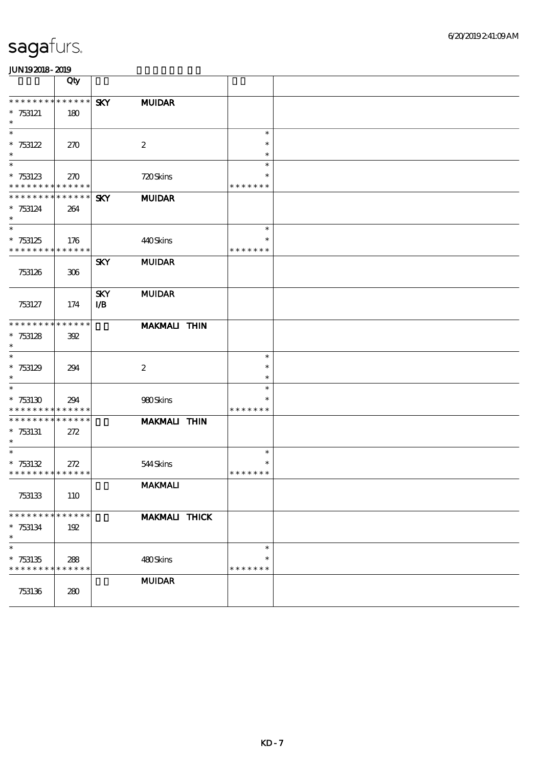|                                    | Qty                        |                          |                      |                  |  |
|------------------------------------|----------------------------|--------------------------|----------------------|------------------|--|
| * * * * * * * *                    |                            |                          |                      |                  |  |
| $*753121$                          | $******$<br>180            | <b>SKY</b>               | <b>MUIDAR</b>        |                  |  |
| $\ast$                             |                            |                          |                      |                  |  |
| $\ast$                             |                            |                          |                      | $\ast$           |  |
| * $753122$                         | 270                        |                          | $\boldsymbol{2}$     | $\ast$           |  |
| $\ast$<br>$\overline{\phantom{0}}$ |                            |                          |                      | $\ast$           |  |
| $* 753123$                         | 270                        |                          | 720Skins             | $\ast$<br>$\ast$ |  |
| * * * * * * * * * * * * * *        |                            |                          |                      | * * * * * * *    |  |
| ******** <mark>*******</mark>      |                            | <b>SKY</b>               | <b>MUIDAR</b>        |                  |  |
| $* 753124$                         | 264                        |                          |                      |                  |  |
| $\ast$<br>$\ast$                   |                            |                          |                      | $\ast$           |  |
| $* 753125$                         | 176                        |                          | 440Skins             | $\ast$           |  |
| * * * * * * * * * * * * * *        |                            |                          |                      | * * * * * * *    |  |
|                                    |                            | <b>SKY</b>               | <b>MUIDAR</b>        |                  |  |
| 753126                             | 306                        |                          |                      |                  |  |
|                                    |                            |                          |                      |                  |  |
| 753127                             | 174                        | <b>SKY</b><br><b>I/B</b> | <b>MUIDAR</b>        |                  |  |
|                                    |                            |                          |                      |                  |  |
| * * * * * * * *                    | * * * * * *                |                          | MAKMALI THIN         |                  |  |
| $* 753128$                         | 392                        |                          |                      |                  |  |
| $\ast$<br>$\ast$                   |                            |                          |                      | $\ast$           |  |
| $* 753129$                         | 294                        |                          | $\boldsymbol{2}$     | $\ast$           |  |
| $\ast$                             |                            |                          |                      | $\ast$           |  |
| $\ast$                             |                            |                          |                      | $\ast$           |  |
| $*753130$                          | 294                        |                          | 980Skins             | $\ast$           |  |
| * * * * * * * *<br>* * * * * * * * | * * * * * *<br>* * * * * * |                          |                      | * * * * * * *    |  |
| $*753131$                          | 272                        |                          | <b>MAKMALI THIN</b>  |                  |  |
| $\ast$                             |                            |                          |                      |                  |  |
| $\ast$                             |                            |                          |                      | $\ast$           |  |
| $* 753132$                         | 272                        |                          | 544Skins             | $\ast$           |  |
| * * * * * * * * * * * * * *        |                            |                          | <b>MAKMALI</b>       | * * * * * * *    |  |
| 753133                             | 110                        |                          |                      |                  |  |
|                                    |                            |                          |                      |                  |  |
| * * * * * * * *                    | * * * * * *                |                          | <b>MAKMALI THICK</b> |                  |  |
| $* 753134$<br>$\ast$               | 192                        |                          |                      |                  |  |
| $\ast$                             |                            |                          |                      | $\ast$           |  |
| $*753135$                          | 288                        |                          | 480Skins             | $\ast$           |  |
| * * * * * * * *                    | * * * * * *                |                          |                      | * * * * * * *    |  |
|                                    |                            |                          | <b>MUIDAR</b>        |                  |  |
| 753136                             | 280                        |                          |                      |                  |  |
|                                    |                            |                          |                      |                  |  |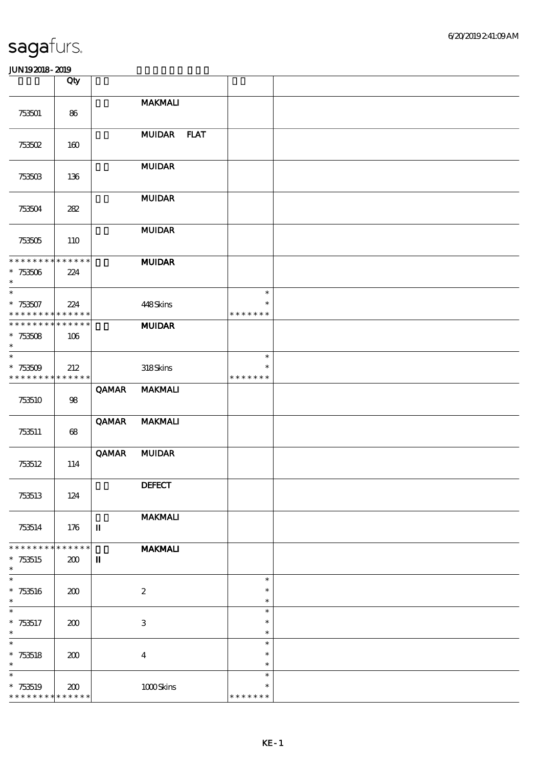|                             | Qty         |             |                           |                  |  |
|-----------------------------|-------------|-------------|---------------------------|------------------|--|
|                             |             |             | <b>MAKMALI</b>            |                  |  |
| 753501                      | 86          |             |                           |                  |  |
|                             |             |             |                           |                  |  |
|                             |             |             | MUIDAR FLAT               |                  |  |
| 753502                      | 160         |             |                           |                  |  |
|                             |             |             | <b>MUIDAR</b>             |                  |  |
| 753503                      | 136         |             |                           |                  |  |
|                             |             |             |                           |                  |  |
| 753504                      | 282         |             | <b>MUIDAR</b>             |                  |  |
|                             |             |             |                           |                  |  |
|                             |             |             | <b>MUIDAR</b>             |                  |  |
| 753505                      | 110         |             |                           |                  |  |
| * * * * * * * * * * * * * * |             |             | <b>MUIDAR</b>             |                  |  |
| $*753506$                   | 224         |             |                           |                  |  |
| $\ast$<br>$\ast$            |             |             |                           |                  |  |
| $*753507$                   | 224         |             | 448Skins                  | $\ast$<br>$\ast$ |  |
| * * * * * * * * * * * * * * |             |             |                           | * * * * * * *    |  |
| * * * * * * * * * * * * * * |             |             | <b>MUIDAR</b>             |                  |  |
| $* 753508$                  | 106         |             |                           |                  |  |
| $\ast$<br>$\ast$            |             |             |                           | $\ast$           |  |
| $*753509$                   | 212         |             | 318Skins                  | $\ast$           |  |
| * * * * * * * * * * * * * * |             |             |                           | * * * * * * *    |  |
|                             |             | QAMAR       | <b>MAKMALI</b>            |                  |  |
| 753510                      | 98          |             |                           |                  |  |
|                             |             | QAMAR       | <b>MAKMALI</b>            |                  |  |
| 753511                      | 68          |             |                           |                  |  |
|                             |             | QAMAR       | <b>MUIDAR</b>             |                  |  |
| 753512                      | 114         |             |                           |                  |  |
|                             |             |             |                           |                  |  |
|                             |             |             | <b>DEFECT</b>             |                  |  |
| 753513                      | 124         |             |                           |                  |  |
|                             |             |             | <b>MAKMALI</b>            |                  |  |
| 753514                      | 176         | П           |                           |                  |  |
| * * * * * * *               | * * * * * * |             | <b>MAKMALI</b>            |                  |  |
| $*753515$                   | 200         | $\mathbf I$ |                           |                  |  |
| $\ast$                      |             |             |                           |                  |  |
| $\ast$                      |             |             |                           | $\ast$           |  |
| $* 753516$<br>$\ast$        | 200         |             | $\boldsymbol{2}$          | $\ast$<br>$\ast$ |  |
| $\overline{\phantom{a}}$    |             |             |                           | $\ast$           |  |
| $*753517$                   | 200         |             | $\ensuremath{\mathsf{3}}$ | $\ast$           |  |
| $\ast$<br>$\overline{\ast}$ |             |             |                           | $\ast$           |  |
| $* 753518$                  | 200         |             | $\bf{4}$                  | $\ast$<br>$\ast$ |  |
| $\ast$                      |             |             |                           | $\ast$           |  |
| $\ast$                      |             |             |                           | $\ast$           |  |
| $*753519$                   | 200         |             | $1000$ Skins              | $\ast$           |  |
| * * * * * * * * * * * * * * |             |             |                           | * * * * * * *    |  |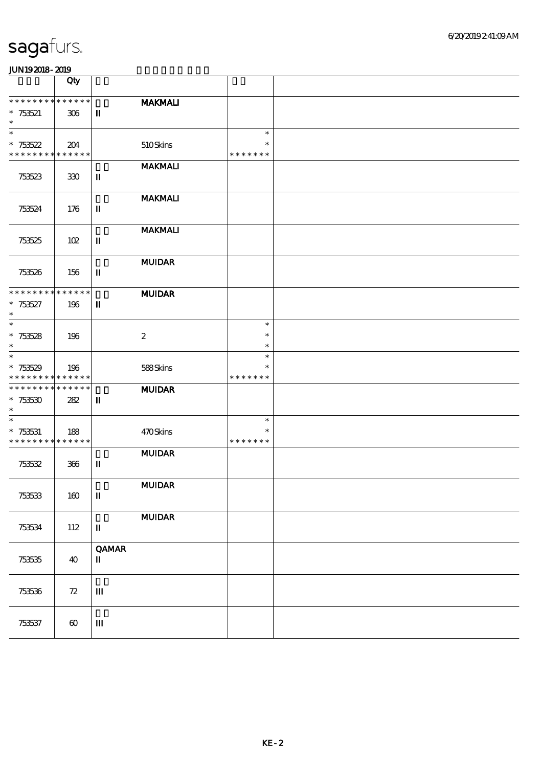|                                          | Qty                   |                             |                                                      |                  |  |
|------------------------------------------|-----------------------|-----------------------------|------------------------------------------------------|------------------|--|
| * * * * * * * *                          | * * * * * *           |                             | <b>MAKMALI</b>                                       |                  |  |
| $*753521$<br>$\ast$                      | 306                   | $\mathbf I$                 |                                                      |                  |  |
| $\ast$                                   |                       |                             |                                                      | $\ast$           |  |
| $* 753522$                               | 204                   |                             | 510Skins                                             | $\ast$           |  |
| * * * * * * * * * * * * * *              |                       |                             | <b>MAKMALI</b>                                       | * * * * * * *    |  |
| 753523                                   | 330                   | $\mathbf I$                 |                                                      |                  |  |
|                                          |                       |                             |                                                      |                  |  |
| 753524                                   | 176                   | $\mathbf I$                 | <b>MAKMALI</b>                                       |                  |  |
|                                          |                       |                             |                                                      |                  |  |
|                                          |                       |                             | <b>MAKMALI</b>                                       |                  |  |
| 753525                                   | 102                   | $\rm I\hspace{-.1em}I$      |                                                      |                  |  |
|                                          |                       |                             | <b>MUIDAR</b>                                        |                  |  |
| 753526                                   | 156                   | $\mathbf I$                 |                                                      |                  |  |
| * * * * * * * *                          | $******$              |                             | <b>MUIDAR</b>                                        |                  |  |
| $* 753527$                               | 196                   | $\mathbf{I}$                |                                                      |                  |  |
| $\ast$<br>$\ast$                         |                       |                             |                                                      | $\ast$           |  |
| $*753528$                                | 196                   |                             | $\boldsymbol{2}$                                     | $\ast$           |  |
| $\ast$<br>$\overline{\ast}$              |                       |                             |                                                      | $\ast$<br>$\ast$ |  |
| $*753529$                                | 196                   |                             | 588Skins                                             | $\ast$           |  |
| * * * * * * * *                          | * * * * * *           |                             |                                                      | * * * * * * *    |  |
| * * * * * * * * * * * * * *<br>$*753530$ | 282                   | $\mathbf{I}$                | <b>MUIDAR</b>                                        |                  |  |
| $\ast$                                   |                       |                             |                                                      |                  |  |
| $\ast$                                   |                       |                             |                                                      | $\ast$<br>$\ast$ |  |
| $* 753531$<br>* * * * * * * *            | 188<br>* * * * * *    |                             | 470Skins                                             | * * * * * * *    |  |
|                                          |                       |                             | $\mathbf{M}\mathbf{U}\mathbf{D}\mathbf{A}\mathbf{R}$ |                  |  |
| 753532                                   | $366$                 | $\mathbf I$                 |                                                      |                  |  |
|                                          |                       |                             | <b>MUIDAR</b>                                        |                  |  |
| 753533                                   | 160                   | $\mathbf I$                 |                                                      |                  |  |
|                                          |                       |                             | <b>MUIDAR</b>                                        |                  |  |
| 753534                                   | 112                   | $\mathbf I$                 |                                                      |                  |  |
|                                          |                       |                             |                                                      |                  |  |
| 753535                                   | 40                    | <b>QAMAR</b><br>$\mathbf I$ |                                                      |                  |  |
|                                          |                       |                             |                                                      |                  |  |
| 753536                                   | ${\bf Z}$             | $\mathbf{I}\mathbf{I}$      |                                                      |                  |  |
|                                          |                       |                             |                                                      |                  |  |
|                                          |                       |                             |                                                      |                  |  |
| 753537                                   | $\boldsymbol{\omega}$ | Ш                           |                                                      |                  |  |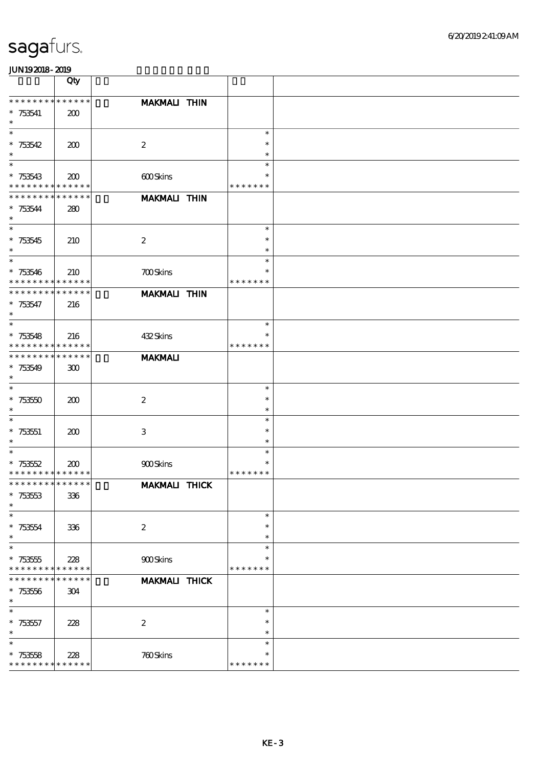|                                          | Qty                        |                      |                  |  |
|------------------------------------------|----------------------------|----------------------|------------------|--|
| * * * * * * * * * * * * * *              |                            | MAKMALI THIN         |                  |  |
| $*753541$                                | 200                        |                      |                  |  |
| $\ast$                                   |                            |                      |                  |  |
| $\ast$                                   |                            |                      | $\ast$           |  |
| $* 753542$                               | 200                        | $\boldsymbol{2}$     | $\ast$           |  |
| $\ast$                                   |                            |                      | $\ast$           |  |
| $\ast$                                   |                            |                      | $\ast$           |  |
| $* 753543$                               | 200                        | 600Skins             | *                |  |
| * * * * * * * * * * * * * *              |                            |                      | * * * * * * *    |  |
| * * * * * * * *                          | * * * * * *                | <b>MAKMALI THIN</b>  |                  |  |
| $* 753544$                               | 280                        |                      |                  |  |
| $\ast$<br>$\overline{\ast}$              |                            |                      |                  |  |
|                                          |                            |                      | $\ast$           |  |
| $* 753545$                               | 210                        | $\boldsymbol{2}$     | $\ast$           |  |
| $\ast$<br>$\ast$                         |                            |                      | $\ast$<br>$\ast$ |  |
|                                          |                            |                      | $\ast$           |  |
| $* 753546$<br>* * * * * * * *            | 210<br>* * * * * *         | <b>700Skins</b>      | * * * * * * *    |  |
| * * * * * * * *                          | * * * * * *                | <b>MAKMALI THIN</b>  |                  |  |
| $* 753547$                               | 216                        |                      |                  |  |
| $\ast$                                   |                            |                      |                  |  |
| $\ast$                                   |                            |                      | $\ast$           |  |
| $* 753548$                               | 216                        | 432Skins             | $\ast$           |  |
| * * * * * * * * <mark>* * * * * *</mark> |                            |                      | * * * * * * *    |  |
| * * * * * * * *                          | * * * * * *                | <b>MAKMALI</b>       |                  |  |
| $*753549$                                | 300                        |                      |                  |  |
| $\ast$                                   |                            |                      |                  |  |
| $\ast$                                   |                            |                      | $\ast$           |  |
| $* 75350$                                | 200                        | $\boldsymbol{2}$     | $\ast$           |  |
| $\ast$                                   |                            |                      | $\ast$           |  |
| $\ast$                                   |                            |                      | $\ast$           |  |
| $* 753551$                               | 200                        | $\,3$                | $\ast$           |  |
| $\ast$                                   |                            |                      | $\ast$           |  |
| $\ast$                                   |                            |                      | $\ast$           |  |
| $* 753552$                               | 200                        | 900Skins             | $\ast$           |  |
| * * * * * * * * <mark>* * * * * *</mark> |                            |                      | * * * * * * *    |  |
| * * * * * * * * * * * * * *              |                            | <b>MAKMALI THICK</b> |                  |  |
| $*753553$                                | 336                        |                      |                  |  |
| $\ast$                                   |                            |                      |                  |  |
| $\ast$                                   |                            |                      | $\ast$           |  |
| $* 753554$                               | 336                        | $\boldsymbol{2}$     | $\ast$           |  |
| $\ast$<br>$\ast$                         |                            |                      | $\ast$<br>$\ast$ |  |
|                                          |                            |                      |                  |  |
| $*753555$                                | 228                        | 900Skins             | *                |  |
| * * * * * * * *<br>* * *                 | * * * * * *<br>* * * * * * |                      | * * * * * * *    |  |
|                                          |                            | <b>MAKMALI THICK</b> |                  |  |
| $*753556$<br>$\ast$                      | 304                        |                      |                  |  |
| $\ast$                                   |                            |                      | $\ast$           |  |
| $* 753557$                               | 228                        | $\boldsymbol{2}$     | $\ast$           |  |
| $\ast$                                   |                            |                      | $\ast$           |  |
| $\ast$                                   |                            |                      | $\ast$           |  |
| $*753558$                                | 228                        | 760Skins             | $\ast$           |  |
| * * * * * * * *                          | * * * * * *                |                      | * * * * * * *    |  |
|                                          |                            |                      |                  |  |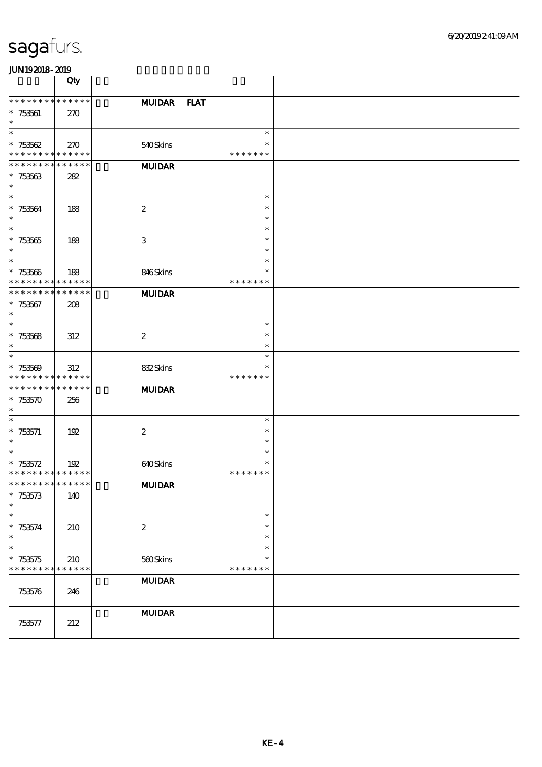|                                                          | Qty                |                  |                                   |  |
|----------------------------------------------------------|--------------------|------------------|-----------------------------------|--|
| **************<br>$*753561$                              | 270                | MUIDAR FLAT      |                                   |  |
| $\ast$<br>$\ast$                                         |                    |                  | $\ast$                            |  |
| $* 753562$<br>* * * * * * * * <mark>* * * * * *</mark> * | 270                | 540Skins         | $\ast$<br>* * * * * * *           |  |
| * * * * * * * * * * * * * *                              |                    | <b>MUIDAR</b>    |                                   |  |
| $*753563$<br>$\ast$                                      | 282                |                  |                                   |  |
| $\ast$<br>$* 753564$<br>$\ast$                           | 188                | $\boldsymbol{2}$ | $\ast$<br>$\ast$<br>$\ast$        |  |
| $\overline{\phantom{0}}$<br>$^\ast$ 753565<br>$\ast$     | 188                | 3                | $\ast$<br>$\ast$<br>$\ast$        |  |
| $\ast$<br>$* 753566$<br>* * * * * * * * * * * * * *      | 188                | 846Skins         | $\ast$<br>$\ast$<br>* * * * * * * |  |
| * * * * * * * *<br>$*753567$<br>$\ast$                   | * * * * * *<br>208 | <b>MUIDAR</b>    |                                   |  |
| $\ast$<br>* $753568$<br>$\ast$                           | 312                | $\boldsymbol{2}$ | $\ast$<br>$\ast$<br>$\ast$        |  |
| $\ast$<br>$* 753569$<br>* * * * * * * * * * * * * *      | 312                | 832Skins         | $\ast$<br>*<br>* * * * * * *      |  |
| * * * * * * * * * * * * * *<br>$*753570$<br>$\ast$       | 256                | <b>MUIDAR</b>    |                                   |  |
| $\ast$<br>$* 753571$<br>$\ast$                           | 192                | $\boldsymbol{2}$ | $\ast$<br>$\ast$<br>$\ast$        |  |
| $\ast$<br>$* 753572$<br>* * * * * * * * * * * * * *      | 192                | 640Skins         | $\ast$<br>$\ast$<br>* * * * * * * |  |
| * * * * * * * * * * * * * *<br>$* 753573$<br>$\ast$      | 140                | <b>MUIDAR</b>    |                                   |  |
| $\ast$<br>$*753574$<br>$\ast$                            | 210                | $\boldsymbol{2}$ | $\ast$<br>$\ast$<br>$\ast$        |  |
| $\ast$<br>$*753575$<br>* * * * * * * * * * * * * *       | 210                | 560Skins         | $\ast$<br>$\ast$<br>* * * * * * * |  |
| 753576                                                   | 246                | <b>MUIDAR</b>    |                                   |  |
| 753577                                                   | 212                | $\bf MUDAR$      |                                   |  |